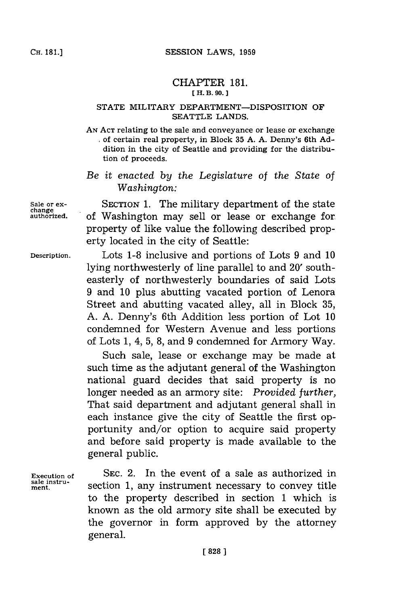## CHAPTER **181. E H. B. 90. J**

## **STATE** MILITARY DEPARTMENT-DISPOSITION OF **SEATTLE LANDS.**

**AN ACT** relating to the sale and conveyance or lease or exchange of certain real property, in Block **35 A. A.** Denny's 6th **Ad**dition in the city of Seattle and providing for the distribution of proceeds.

*Be it enacted by the Legislature of the State of Washington:*

Sale or ex-<br>SECTION 1. The military department of the state of Washington may sell or lease or exchange for property of like value the following described property located in the city of Seattle:

**Description.** Lots **1-8** inclusive and portions of Lots **9** and **10** lying northwesterly of line parallel to and 20' southeasterly of northwesterly boundaries of said Lots **9** and **10** plus abutting vacated portion of Lenora Street and abutting vacated alley, all in Block **35, A. A.** Denny's 6th Addition less portion of Lot **10** condemned for Western Avenue and less portions of Lots **1,** 4, **5, 8,** and **9** condemned for Armory Way.

> Such sale, lease or exchange may be made at such time as the adjutant general of the Washington national guard decides that said property is no longer needed as an armory site: *Provided further,* That said department and adjutant general shall in each instance give the city of Seattle the first opportunity and/or option to acquire said property and before said property is made available to the general public.

**Execution of SEC.** 2. In the event of a sale as authorized in section 1, any instrument necessary to convey title to the property described in section **1** which is known as the old armory site shall be executed **by** the governor in form approved **by** the attorney general.

**change**

**sale instru-**